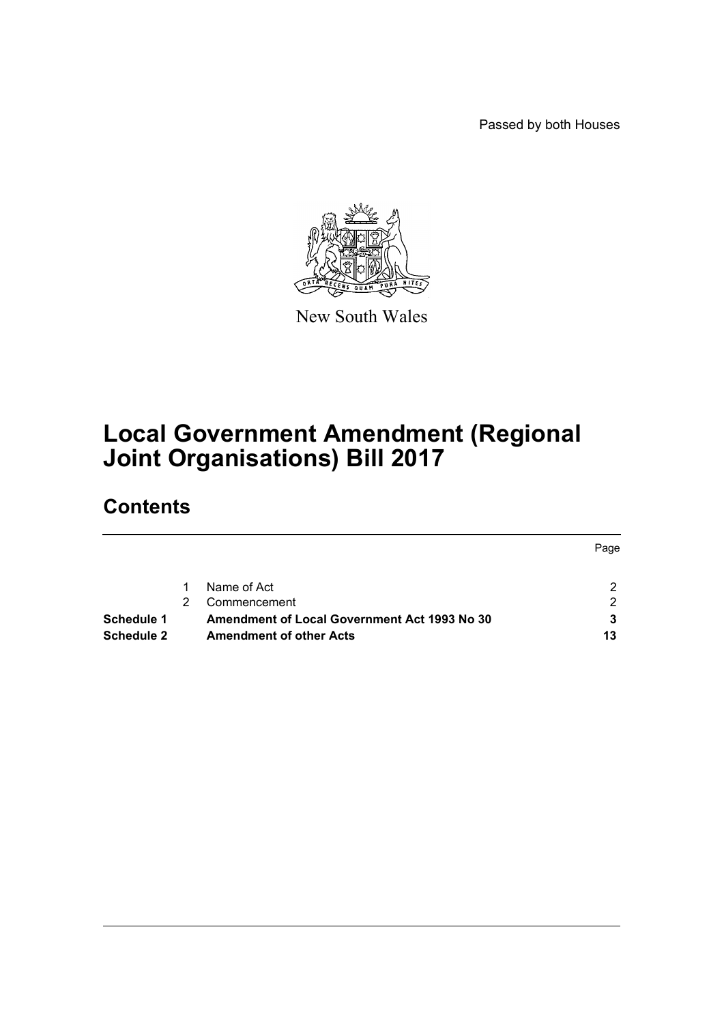Passed by both Houses



New South Wales

# **Local Government Amendment (Regional Joint Organisations) Bill 2017**

# **Contents**

|            |                                                     | Page |
|------------|-----------------------------------------------------|------|
|            | Name of Act                                         |      |
|            | Commencement                                        | ົ    |
| Schedule 1 | <b>Amendment of Local Government Act 1993 No 30</b> |      |
| Schedule 2 | <b>Amendment of other Acts</b>                      | 13   |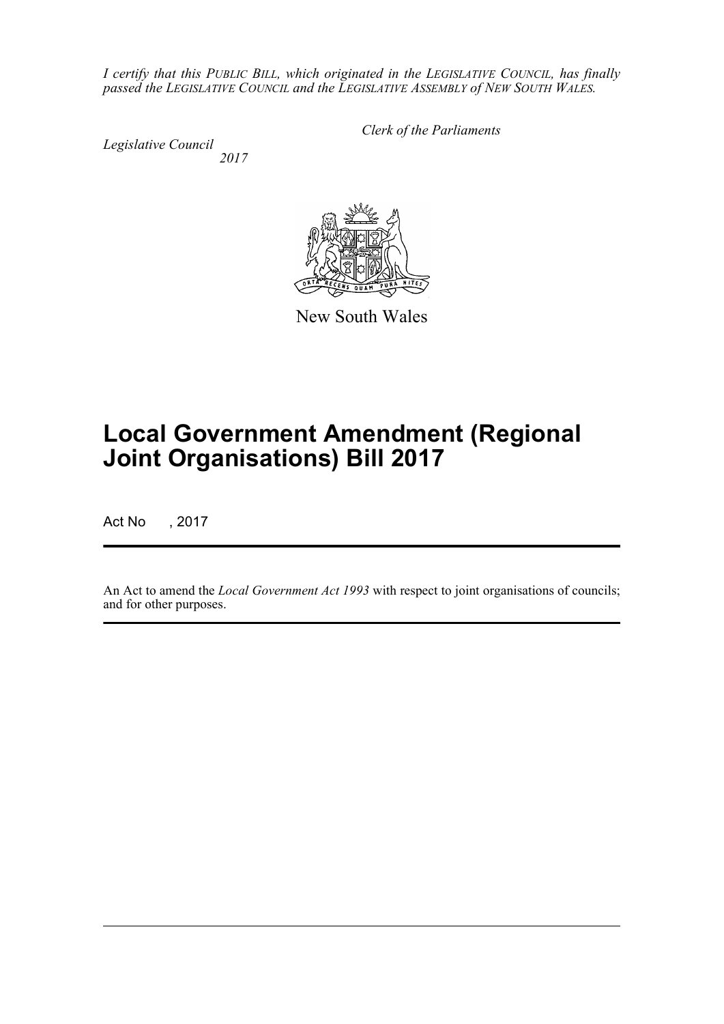*I certify that this PUBLIC BILL, which originated in the LEGISLATIVE COUNCIL, has finally passed the LEGISLATIVE COUNCIL and the LEGISLATIVE ASSEMBLY of NEW SOUTH WALES.*

*Legislative Council 2017* *Clerk of the Parliaments*



New South Wales

# **Local Government Amendment (Regional Joint Organisations) Bill 2017**

Act No , 2017

An Act to amend the *Local Government Act 1993* with respect to joint organisations of councils; and for other purposes.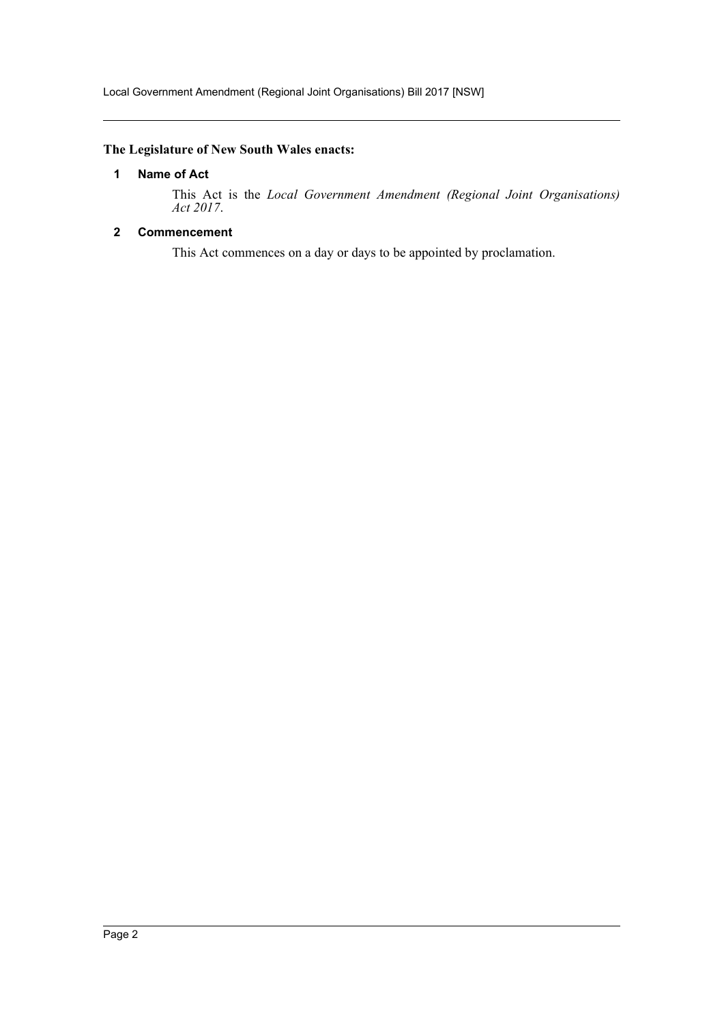### <span id="page-2-0"></span>**The Legislature of New South Wales enacts:**

### **1 Name of Act**

This Act is the *Local Government Amendment (Regional Joint Organisations) Act 2017*.

### <span id="page-2-1"></span>**2 Commencement**

This Act commences on a day or days to be appointed by proclamation.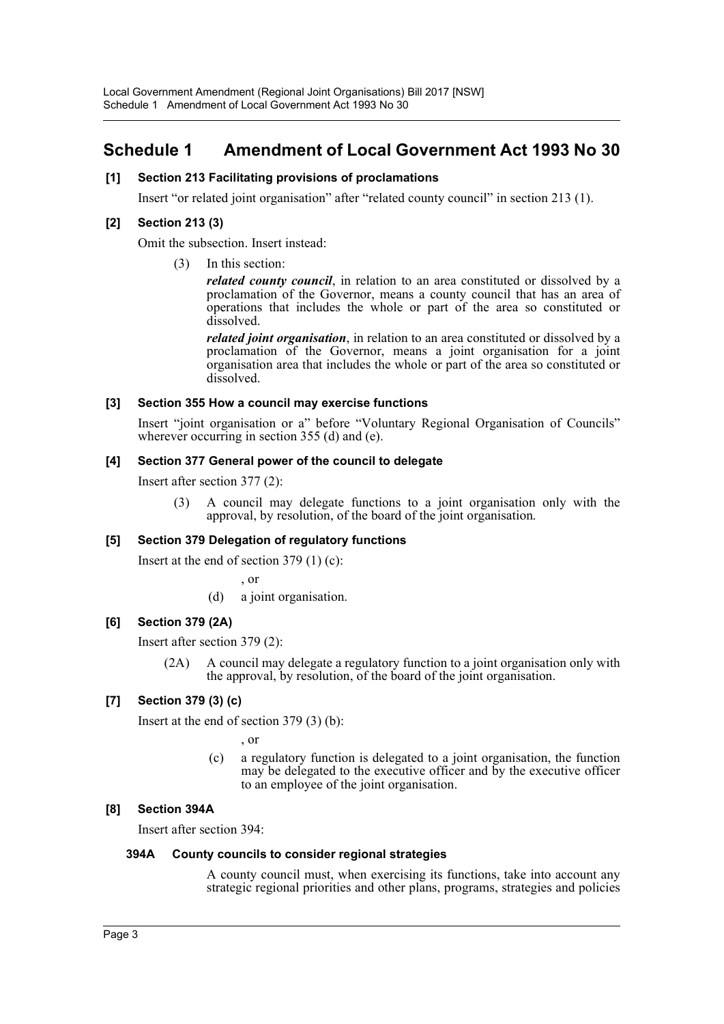# <span id="page-3-0"></span>**Schedule 1 Amendment of Local Government Act 1993 No 30**

### **[1] Section 213 Facilitating provisions of proclamations**

Insert "or related joint organisation" after "related county council" in section 213 (1).

### **[2] Section 213 (3)**

Omit the subsection. Insert instead:

(3) In this section:

*related county council*, in relation to an area constituted or dissolved by a proclamation of the Governor, means a county council that has an area of operations that includes the whole or part of the area so constituted or dissolved.

*related joint organisation*, in relation to an area constituted or dissolved by a proclamation of the Governor, means a joint organisation for a joint organisation area that includes the whole or part of the area so constituted or dissolved.

### **[3] Section 355 How a council may exercise functions**

Insert "joint organisation or a" before "Voluntary Regional Organisation of Councils" wherever occurring in section 355 (d) and (e).

### **[4] Section 377 General power of the council to delegate**

Insert after section 377 (2):

(3) A council may delegate functions to a joint organisation only with the approval, by resolution, of the board of the joint organisation.

### **[5] Section 379 Delegation of regulatory functions**

Insert at the end of section 379 (1) (c):

, or

(d) a joint organisation.

### **[6] Section 379 (2A)**

Insert after section 379 (2):

(2A) A council may delegate a regulatory function to a joint organisation only with the approval, by resolution, of the board of the joint organisation.

### **[7] Section 379 (3) (c)**

Insert at the end of section 379 (3) (b):

- , or
- (c) a regulatory function is delegated to a joint organisation, the function may be delegated to the executive officer and by the executive officer to an employee of the joint organisation.

### **[8] Section 394A**

Insert after section 394:

### **394A County councils to consider regional strategies**

A county council must, when exercising its functions, take into account any strategic regional priorities and other plans, programs, strategies and policies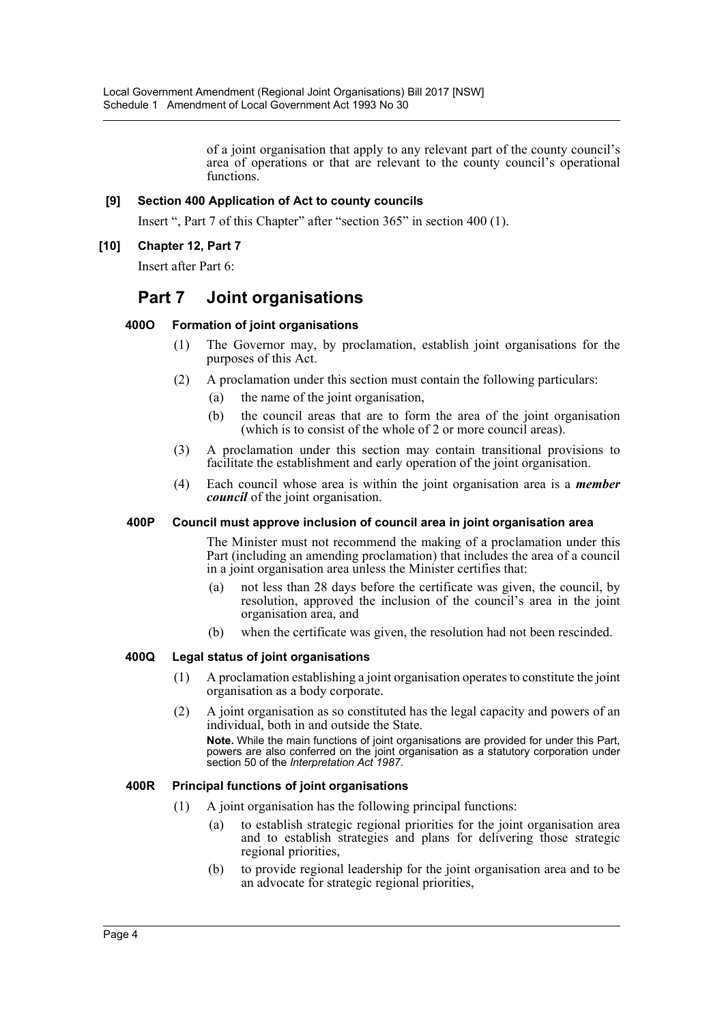of a joint organisation that apply to any relevant part of the county council's area of operations or that are relevant to the county council's operational functions.

### **[9] Section 400 Application of Act to county councils**

Insert ", Part 7 of this Chapter" after "section 365" in section 400 (1).

### **[10] Chapter 12, Part 7**

Insert after Part 6:

# **Part 7 Joint organisations**

### **400O Formation of joint organisations**

- (1) The Governor may, by proclamation, establish joint organisations for the purposes of this Act.
- (2) A proclamation under this section must contain the following particulars:
	- (a) the name of the joint organisation,
	- (b) the council areas that are to form the area of the joint organisation (which is to consist of the whole of 2 or more council areas).
- (3) A proclamation under this section may contain transitional provisions to facilitate the establishment and early operation of the joint organisation.
- (4) Each council whose area is within the joint organisation area is a *member council* of the joint organisation.

### **400P Council must approve inclusion of council area in joint organisation area**

The Minister must not recommend the making of a proclamation under this Part (including an amending proclamation) that includes the area of a council in a joint organisation area unless the Minister certifies that:

- (a) not less than 28 days before the certificate was given, the council, by resolution, approved the inclusion of the council's area in the joint organisation area, and
- (b) when the certificate was given, the resolution had not been rescinded.

### **400Q Legal status of joint organisations**

- (1) A proclamation establishing a joint organisation operates to constitute the joint organisation as a body corporate.
- (2) A joint organisation as so constituted has the legal capacity and powers of an individual, both in and outside the State.

**Note.** While the main functions of joint organisations are provided for under this Part, powers are also conferred on the joint organisation as a statutory corporation under section 50 of the *Interpretation Act 1987*.

### **400R Principal functions of joint organisations**

- (1) A joint organisation has the following principal functions:
	- (a) to establish strategic regional priorities for the joint organisation area and to establish strategies and plans for delivering those strategic regional priorities,
	- (b) to provide regional leadership for the joint organisation area and to be an advocate for strategic regional priorities,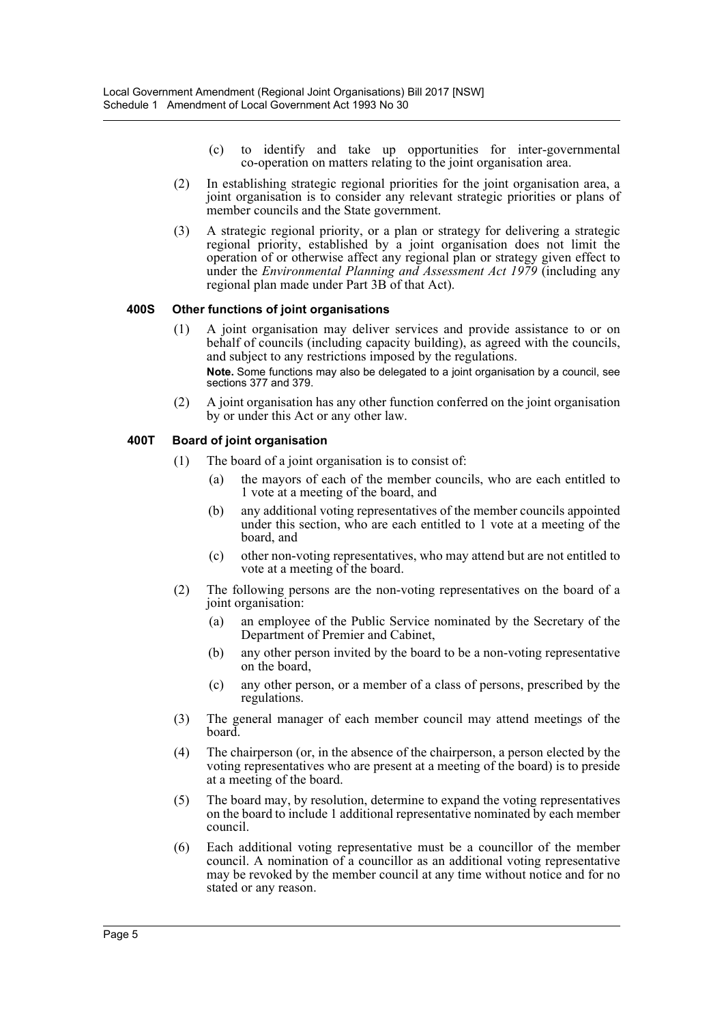- (c) to identify and take up opportunities for inter-governmental co-operation on matters relating to the joint organisation area.
- (2) In establishing strategic regional priorities for the joint organisation area, a joint organisation is to consider any relevant strategic priorities or plans of member councils and the State government.
- (3) A strategic regional priority, or a plan or strategy for delivering a strategic regional priority, established by a joint organisation does not limit the operation of or otherwise affect any regional plan or strategy given effect to under the *Environmental Planning and Assessment Act 1979* (including any regional plan made under Part 3B of that Act).

### **400S Other functions of joint organisations**

- (1) A joint organisation may deliver services and provide assistance to or on behalf of councils (including capacity building), as agreed with the councils, and subject to any restrictions imposed by the regulations. **Note.** Some functions may also be delegated to a joint organisation by a council, see sections 377 and 379.
- (2) A joint organisation has any other function conferred on the joint organisation by or under this Act or any other law.

### **400T Board of joint organisation**

- (1) The board of a joint organisation is to consist of:
	- (a) the mayors of each of the member councils, who are each entitled to 1 vote at a meeting of the board, and
	- (b) any additional voting representatives of the member councils appointed under this section, who are each entitled to 1 vote at a meeting of the board, and
	- (c) other non-voting representatives, who may attend but are not entitled to vote at a meeting of the board.
- (2) The following persons are the non-voting representatives on the board of a joint organisation:
	- (a) an employee of the Public Service nominated by the Secretary of the Department of Premier and Cabinet,
	- (b) any other person invited by the board to be a non-voting representative on the board,
	- (c) any other person, or a member of a class of persons, prescribed by the regulations.
- (3) The general manager of each member council may attend meetings of the board.
- (4) The chairperson (or, in the absence of the chairperson, a person elected by the voting representatives who are present at a meeting of the board) is to preside at a meeting of the board.
- (5) The board may, by resolution, determine to expand the voting representatives on the board to include 1 additional representative nominated by each member council.
- (6) Each additional voting representative must be a councillor of the member council. A nomination of a councillor as an additional voting representative may be revoked by the member council at any time without notice and for no stated or any reason.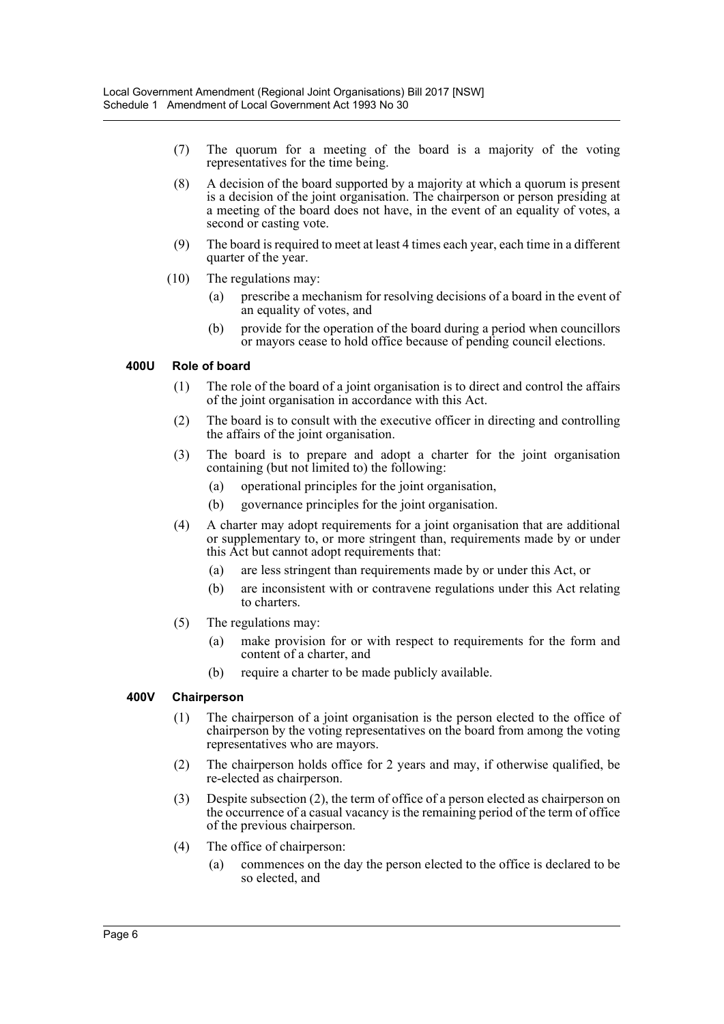- (7) The quorum for a meeting of the board is a majority of the voting representatives for the time being.
- (8) A decision of the board supported by a majority at which a quorum is present is a decision of the joint organisation. The chairperson or person presiding at a meeting of the board does not have, in the event of an equality of votes, a second or casting vote.
- (9) The board is required to meet at least 4 times each year, each time in a different quarter of the year.
- (10) The regulations may:
	- (a) prescribe a mechanism for resolving decisions of a board in the event of an equality of votes, and
	- (b) provide for the operation of the board during a period when councillors or mayors cease to hold office because of pending council elections.

### **400U Role of board**

- (1) The role of the board of a joint organisation is to direct and control the affairs of the joint organisation in accordance with this Act.
- (2) The board is to consult with the executive officer in directing and controlling the affairs of the joint organisation.
- (3) The board is to prepare and adopt a charter for the joint organisation containing (but not limited to) the following:
	- (a) operational principles for the joint organisation,
	- (b) governance principles for the joint organisation.
- (4) A charter may adopt requirements for a joint organisation that are additional or supplementary to, or more stringent than, requirements made by or under this Act but cannot adopt requirements that:
	- (a) are less stringent than requirements made by or under this Act, or
	- (b) are inconsistent with or contravene regulations under this Act relating to charters.
- (5) The regulations may:
	- (a) make provision for or with respect to requirements for the form and content of a charter, and
	- (b) require a charter to be made publicly available.

### **400V Chairperson**

- (1) The chairperson of a joint organisation is the person elected to the office of chairperson by the voting representatives on the board from among the voting representatives who are mayors.
- (2) The chairperson holds office for 2 years and may, if otherwise qualified, be re-elected as chairperson.
- (3) Despite subsection (2), the term of office of a person elected as chairperson on the occurrence of a casual vacancy is the remaining period of the term of office of the previous chairperson.
- (4) The office of chairperson:
	- (a) commences on the day the person elected to the office is declared to be so elected, and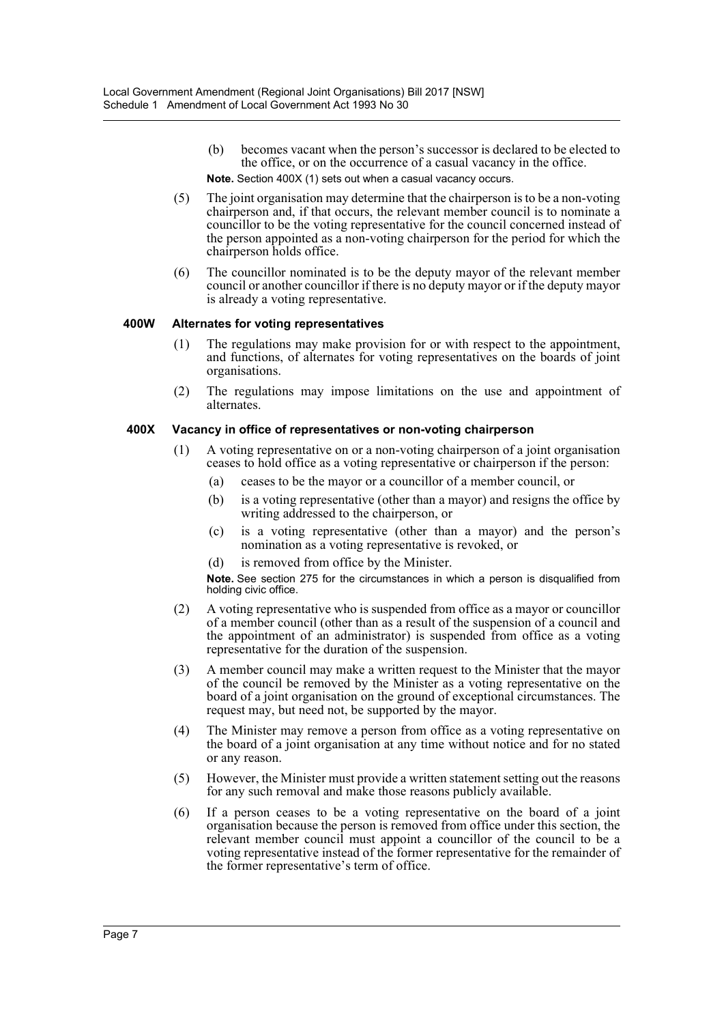- (b) becomes vacant when the person's successor is declared to be elected to the office, or on the occurrence of a casual vacancy in the office. **Note.** Section 400X (1) sets out when a casual vacancy occurs.
- (5) The joint organisation may determine that the chairperson is to be a non-voting chairperson and, if that occurs, the relevant member council is to nominate a councillor to be the voting representative for the council concerned instead of the person appointed as a non-voting chairperson for the period for which the chairperson holds office.
- (6) The councillor nominated is to be the deputy mayor of the relevant member council or another councillor if there is no deputy mayor or if the deputy mayor is already a voting representative.

### **400W Alternates for voting representatives**

- (1) The regulations may make provision for or with respect to the appointment, and functions, of alternates for voting representatives on the boards of joint organisations.
- (2) The regulations may impose limitations on the use and appointment of alternates.

### **400X Vacancy in office of representatives or non-voting chairperson**

- (1) A voting representative on or a non-voting chairperson of a joint organisation ceases to hold office as a voting representative or chairperson if the person:
	- (a) ceases to be the mayor or a councillor of a member council, or
	- (b) is a voting representative (other than a mayor) and resigns the office by writing addressed to the chairperson, or
	- (c) is a voting representative (other than a mayor) and the person's nomination as a voting representative is revoked, or
	- (d) is removed from office by the Minister.

**Note.** See section 275 for the circumstances in which a person is disqualified from holding civic office.

- (2) A voting representative who is suspended from office as a mayor or councillor of a member council (other than as a result of the suspension of a council and the appointment of an administrator) is suspended from office as a voting representative for the duration of the suspension.
- (3) A member council may make a written request to the Minister that the mayor of the council be removed by the Minister as a voting representative on the board of a joint organisation on the ground of exceptional circumstances. The request may, but need not, be supported by the mayor.
- (4) The Minister may remove a person from office as a voting representative on the board of a joint organisation at any time without notice and for no stated or any reason.
- (5) However, the Minister must provide a written statement setting out the reasons for any such removal and make those reasons publicly available.
- (6) If a person ceases to be a voting representative on the board of a joint organisation because the person is removed from office under this section, the relevant member council must appoint a councillor of the council to be a voting representative instead of the former representative for the remainder of the former representative's term of office.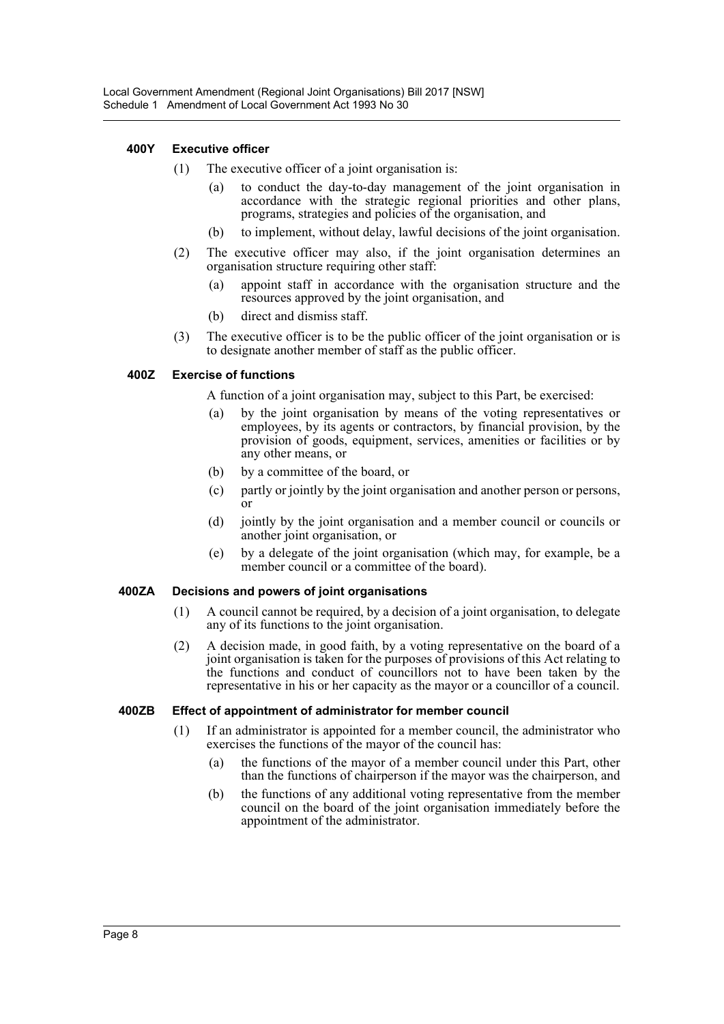### **400Y Executive officer**

- (1) The executive officer of a joint organisation is:
	- (a) to conduct the day-to-day management of the joint organisation in accordance with the strategic regional priorities and other plans, programs, strategies and policies of the organisation, and
	- (b) to implement, without delay, lawful decisions of the joint organisation.
- (2) The executive officer may also, if the joint organisation determines an organisation structure requiring other staff:
	- (a) appoint staff in accordance with the organisation structure and the resources approved by the joint organisation, and
	- (b) direct and dismiss staff.
- (3) The executive officer is to be the public officer of the joint organisation or is to designate another member of staff as the public officer.

### **400Z Exercise of functions**

A function of a joint organisation may, subject to this Part, be exercised:

- (a) by the joint organisation by means of the voting representatives or employees, by its agents or contractors, by financial provision, by the provision of goods, equipment, services, amenities or facilities or by any other means, or
- (b) by a committee of the board, or
- (c) partly or jointly by the joint organisation and another person or persons, or
- (d) jointly by the joint organisation and a member council or councils or another joint organisation, or
- (e) by a delegate of the joint organisation (which may, for example, be a member council or a committee of the board).

### **400ZA Decisions and powers of joint organisations**

- (1) A council cannot be required, by a decision of a joint organisation, to delegate any of its functions to the joint organisation.
- (2) A decision made, in good faith, by a voting representative on the board of a joint organisation is taken for the purposes of provisions of this Act relating to the functions and conduct of councillors not to have been taken by the representative in his or her capacity as the mayor or a councillor of a council.

### **400ZB Effect of appointment of administrator for member council**

- (1) If an administrator is appointed for a member council, the administrator who exercises the functions of the mayor of the council has:
	- (a) the functions of the mayor of a member council under this Part, other than the functions of chairperson if the mayor was the chairperson, and
	- (b) the functions of any additional voting representative from the member council on the board of the joint organisation immediately before the appointment of the administrator.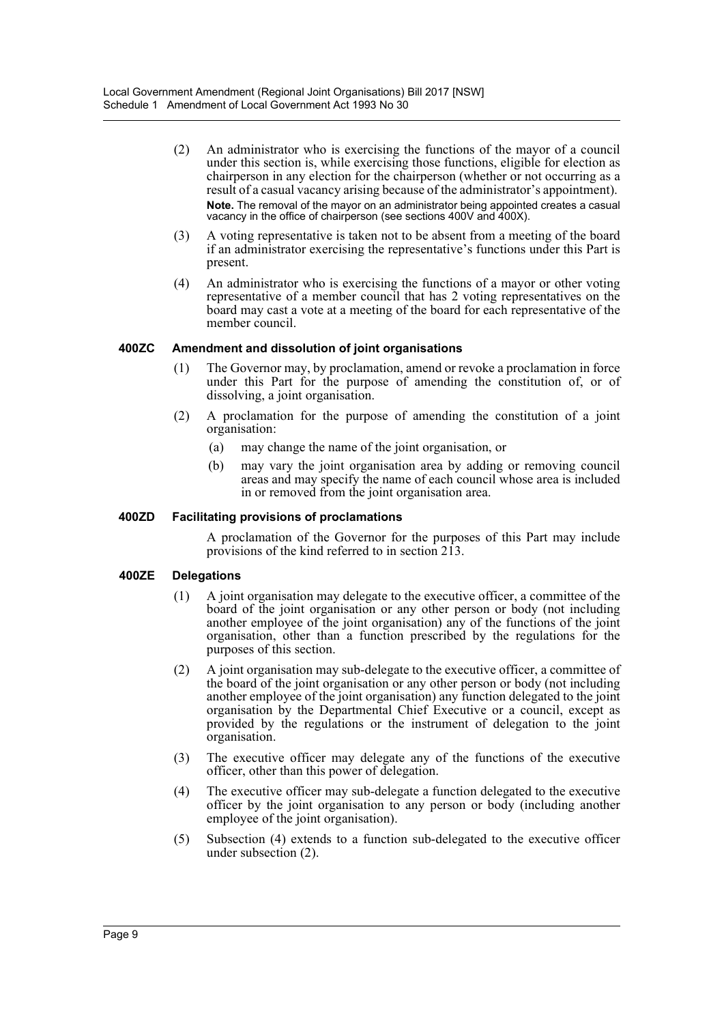- (2) An administrator who is exercising the functions of the mayor of a council under this section is, while exercising those functions, eligible for election as chairperson in any election for the chairperson (whether or not occurring as a result of a casual vacancy arising because of the administrator's appointment). **Note.** The removal of the mayor on an administrator being appointed creates a casual vacancy in the office of chairperson (see sections 400V and 400X).
- (3) A voting representative is taken not to be absent from a meeting of the board if an administrator exercising the representative's functions under this Part is present.
- (4) An administrator who is exercising the functions of a mayor or other voting representative of a member council that has 2 voting representatives on the board may cast a vote at a meeting of the board for each representative of the member council.

### **400ZC Amendment and dissolution of joint organisations**

- (1) The Governor may, by proclamation, amend or revoke a proclamation in force under this Part for the purpose of amending the constitution of, or of dissolving, a joint organisation.
- (2) A proclamation for the purpose of amending the constitution of a joint organisation:
	- (a) may change the name of the joint organisation, or
	- (b) may vary the joint organisation area by adding or removing council areas and may specify the name of each council whose area is included in or removed from the joint organisation area.

### **400ZD Facilitating provisions of proclamations**

A proclamation of the Governor for the purposes of this Part may include provisions of the kind referred to in section 213.

### **400ZE Delegations**

- (1) A joint organisation may delegate to the executive officer, a committee of the board of the joint organisation or any other person or body (not including another employee of the joint organisation) any of the functions of the joint organisation, other than a function prescribed by the regulations for the purposes of this section.
- (2) A joint organisation may sub-delegate to the executive officer, a committee of the board of the joint organisation or any other person or body (not including another employee of the joint organisation) any function delegated to the joint organisation by the Departmental Chief Executive or a council, except as provided by the regulations or the instrument of delegation to the joint organisation.
- (3) The executive officer may delegate any of the functions of the executive officer, other than this power of delegation.
- (4) The executive officer may sub-delegate a function delegated to the executive officer by the joint organisation to any person or body (including another employee of the joint organisation).
- (5) Subsection (4) extends to a function sub-delegated to the executive officer under subsection (2).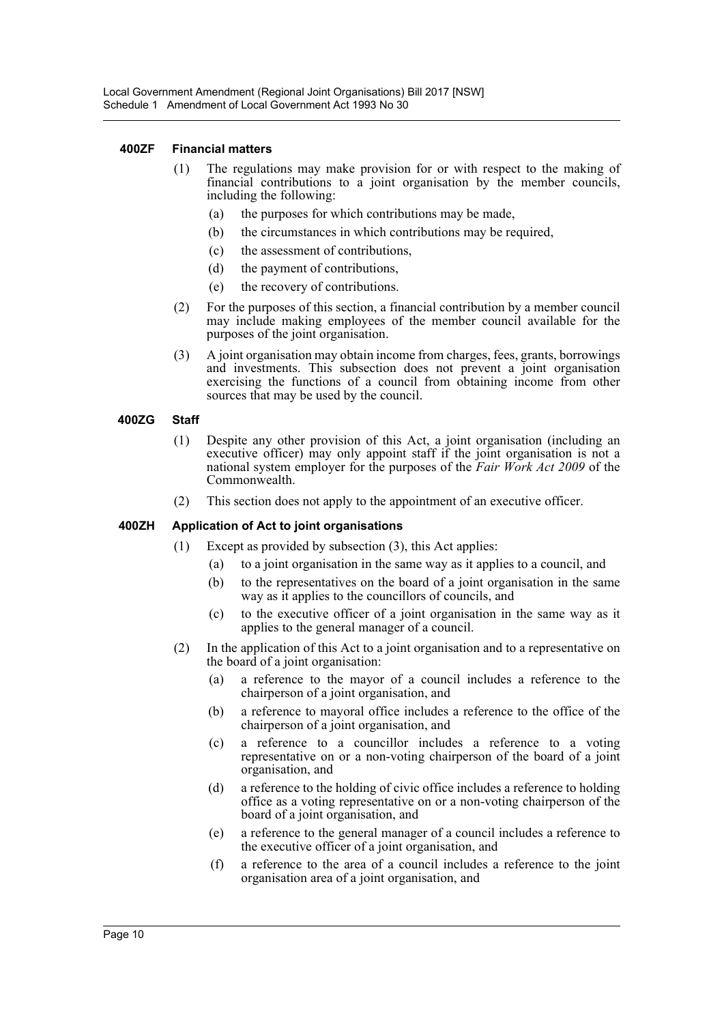#### **400ZF Financial matters**

- (1) The regulations may make provision for or with respect to the making of financial contributions to a joint organisation by the member councils, including the following:
	- (a) the purposes for which contributions may be made,
	- (b) the circumstances in which contributions may be required,
	- (c) the assessment of contributions,
	- (d) the payment of contributions,
	- (e) the recovery of contributions.
- (2) For the purposes of this section, a financial contribution by a member council may include making employees of the member council available for the purposes of the joint organisation.
- (3) A joint organisation may obtain income from charges, fees, grants, borrowings and investments. This subsection does not prevent a joint organisation exercising the functions of a council from obtaining income from other sources that may be used by the council.

#### **400ZG Staff**

- (1) Despite any other provision of this Act, a joint organisation (including an executive officer) may only appoint staff if the joint organisation is not a national system employer for the purposes of the *Fair Work Act 2009* of the Commonwealth.
- (2) This section does not apply to the appointment of an executive officer.

#### **400ZH Application of Act to joint organisations**

- (1) Except as provided by subsection (3), this Act applies:
	- (a) to a joint organisation in the same way as it applies to a council, and
	- (b) to the representatives on the board of a joint organisation in the same way as it applies to the councillors of councils, and
	- (c) to the executive officer of a joint organisation in the same way as it applies to the general manager of a council.
- (2) In the application of this Act to a joint organisation and to a representative on the board of a joint organisation:
	- (a) a reference to the mayor of a council includes a reference to the chairperson of a joint organisation, and
	- (b) a reference to mayoral office includes a reference to the office of the chairperson of a joint organisation, and
	- (c) a reference to a councillor includes a reference to a voting representative on or a non-voting chairperson of the board of a joint organisation, and
	- (d) a reference to the holding of civic office includes a reference to holding office as a voting representative on or a non-voting chairperson of the board of a joint organisation, and
	- (e) a reference to the general manager of a council includes a reference to the executive officer of a joint organisation, and
	- (f) a reference to the area of a council includes a reference to the joint organisation area of a joint organisation, and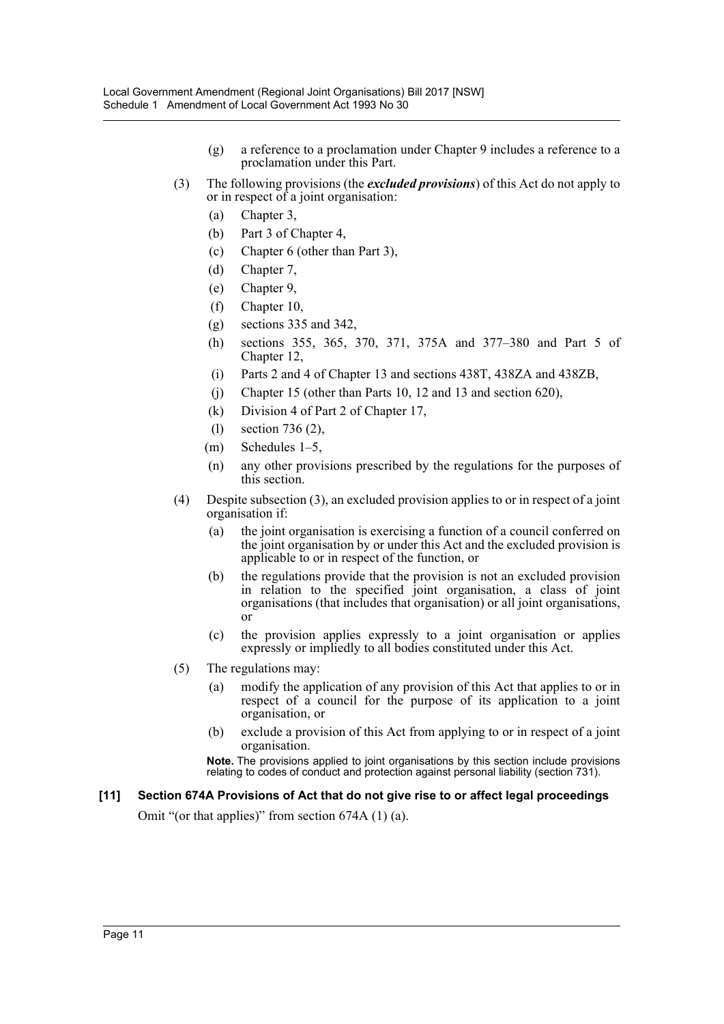- (g) a reference to a proclamation under Chapter 9 includes a reference to a proclamation under this Part.
- (3) The following provisions (the *excluded provisions*) of this Act do not apply to or in respect of a joint organisation:
	- (a) Chapter 3,
	- (b) Part 3 of Chapter 4,
	- (c) Chapter 6 (other than Part 3),
	- (d) Chapter 7,
	- (e) Chapter 9,
	- (f) Chapter 10,
	- (g) sections 335 and 342,
	- (h) sections 355, 365, 370, 371, 375A and 377–380 and Part 5 of Chapter 12,
	- (i) Parts 2 and 4 of Chapter 13 and sections 438T, 438ZA and 438ZB,
	- (j) Chapter 15 (other than Parts 10, 12 and 13 and section 620),
	- (k) Division 4 of Part 2 of Chapter 17,
	- (l) section 736 (2),
	- (m) Schedules 1–5,
	- (n) any other provisions prescribed by the regulations for the purposes of this section.
- (4) Despite subsection (3), an excluded provision applies to or in respect of a joint organisation if:
	- (a) the joint organisation is exercising a function of a council conferred on the joint organisation by or under this Act and the excluded provision is applicable to or in respect of the function, or
	- (b) the regulations provide that the provision is not an excluded provision in relation to the specified joint organisation, a class of joint organisations (that includes that organisation) or all joint organisations, or
	- (c) the provision applies expressly to a joint organisation or applies expressly or impliedly to all bodies constituted under this Act.
- (5) The regulations may:
	- (a) modify the application of any provision of this Act that applies to or in respect of a council for the purpose of its application to a joint organisation, or
	- (b) exclude a provision of this Act from applying to or in respect of a joint organisation.

**Note.** The provisions applied to joint organisations by this section include provisions relating to codes of conduct and protection against personal liability (section 731).

### **[11] Section 674A Provisions of Act that do not give rise to or affect legal proceedings**

Omit "(or that applies)" from section 674A (1) (a).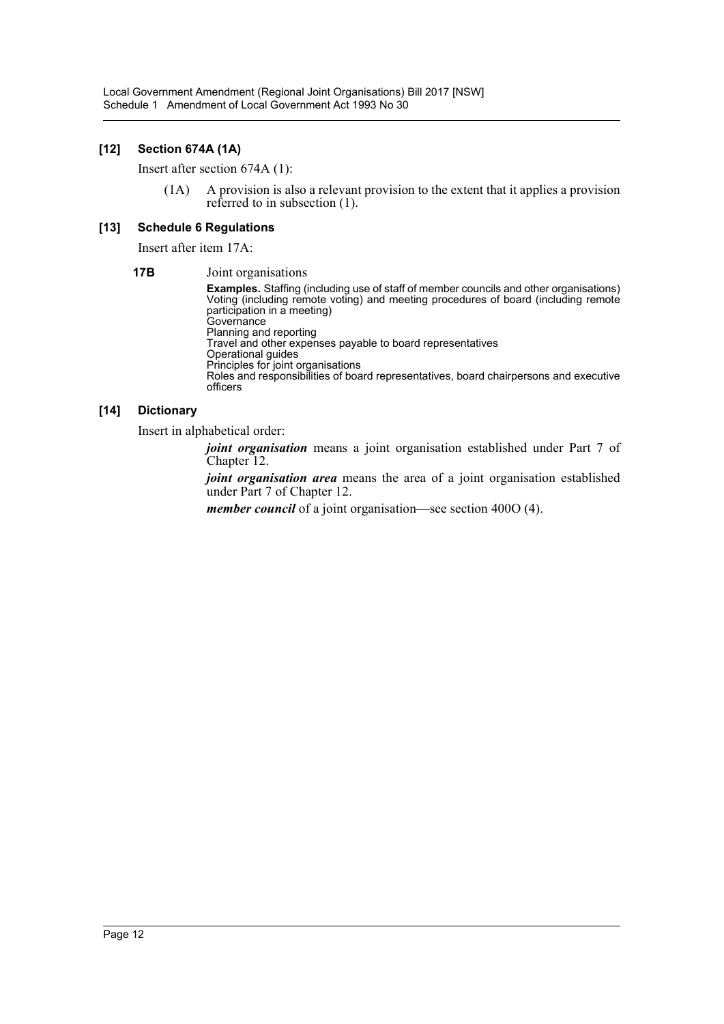### **[12] Section 674A (1A)**

Insert after section 674A (1):

(1A) A provision is also a relevant provision to the extent that it applies a provision referred to in subsection (1).

### **[13] Schedule 6 Regulations**

Insert after item 17A:

**17B** Joint organisations **Examples.** Staffing (including use of staff of member councils and other organisations) Voting (including remote voting) and meeting procedures of board (including remote participation in a meeting) Governance Planning and reporting Travel and other expenses payable to board representatives Operational guides Principles for joint organisations Roles and responsibilities of board representatives, board chairpersons and executive officers

### **[14] Dictionary**

Insert in alphabetical order:

*joint organisation* means a joint organisation established under Part 7 of Chapter 12.

*joint organisation area* means the area of a joint organisation established under Part 7 of Chapter 12.

*member council* of a joint organisation—see section 400O (4).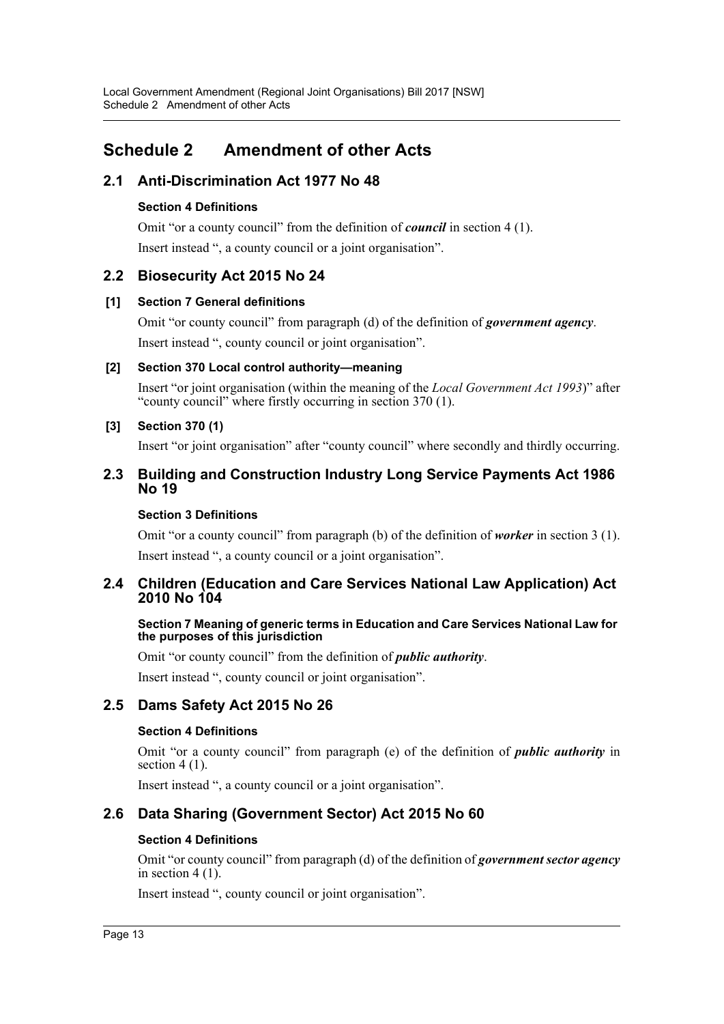# <span id="page-13-0"></span>**Schedule 2 Amendment of other Acts**

# **2.1 Anti-Discrimination Act 1977 No 48**

### **Section 4 Definitions**

Omit "or a county council" from the definition of *council* in section 4 (1). Insert instead ", a county council or a joint organisation".

# **2.2 Biosecurity Act 2015 No 24**

### **[1] Section 7 General definitions**

Omit "or county council" from paragraph (d) of the definition of *government agency*. Insert instead ", county council or joint organisation".

### **[2] Section 370 Local control authority—meaning**

Insert "or joint organisation (within the meaning of the *Local Government Act 1993*)" after "county council" where firstly occurring in section 370 (1).

### **[3] Section 370 (1)**

Insert "or joint organisation" after "county council" where secondly and thirdly occurring.

### **2.3 Building and Construction Industry Long Service Payments Act 1986 No 19**

### **Section 3 Definitions**

Omit "or a county council" from paragraph (b) of the definition of *worker* in section 3 (1). Insert instead ", a county council or a joint organisation".

# **2.4 Children (Education and Care Services National Law Application) Act 2010 No 104**

### **Section 7 Meaning of generic terms in Education and Care Services National Law for the purposes of this jurisdiction**

Omit "or county council" from the definition of *public authority*.

Insert instead ", county council or joint organisation".

# **2.5 Dams Safety Act 2015 No 26**

### **Section 4 Definitions**

Omit "or a county council" from paragraph (e) of the definition of *public authority* in section  $4(1)$ .

Insert instead ", a county council or a joint organisation".

# **2.6 Data Sharing (Government Sector) Act 2015 No 60**

### **Section 4 Definitions**

Omit "or county council" from paragraph (d) of the definition of *government sector agency* in section 4 (1).

Insert instead ", county council or joint organisation".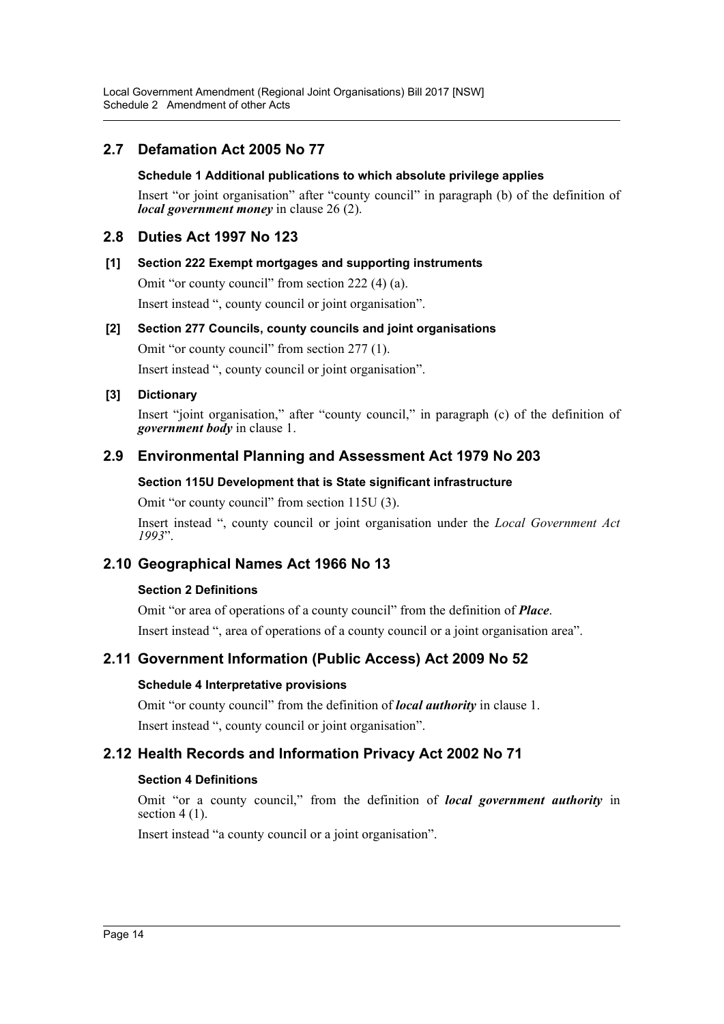Local Government Amendment (Regional Joint Organisations) Bill 2017 [NSW] Schedule 2 Amendment of other Acts

# **2.7 Defamation Act 2005 No 77**

### **Schedule 1 Additional publications to which absolute privilege applies**

Insert "or joint organisation" after "county council" in paragraph (b) of the definition of *local government money* in clause 26 (2).

### **2.8 Duties Act 1997 No 123**

### **[1] Section 222 Exempt mortgages and supporting instruments**

Omit "or county council" from section 222 (4) (a).

Insert instead ", county council or joint organisation".

### **[2] Section 277 Councils, county councils and joint organisations**

Omit "or county council" from section 277 (1).

Insert instead ", county council or joint organisation".

### **[3] Dictionary**

Insert "joint organisation," after "county council," in paragraph (c) of the definition of *government body* in clause 1.

### **2.9 Environmental Planning and Assessment Act 1979 No 203**

### **Section 115U Development that is State significant infrastructure**

Omit "or county council" from section 115U (3).

Insert instead ", county council or joint organisation under the *Local Government Act 1993*".

### **2.10 Geographical Names Act 1966 No 13**

### **Section 2 Definitions**

Omit "or area of operations of a county council" from the definition of *Place*. Insert instead ", area of operations of a county council or a joint organisation area".

### **2.11 Government Information (Public Access) Act 2009 No 52**

### **Schedule 4 Interpretative provisions**

Omit "or county council" from the definition of *local authority* in clause 1. Insert instead ", county council or joint organisation".

### **2.12 Health Records and Information Privacy Act 2002 No 71**

### **Section 4 Definitions**

Omit "or a county council," from the definition of *local government authority* in section  $4(1)$ .

Insert instead "a county council or a joint organisation".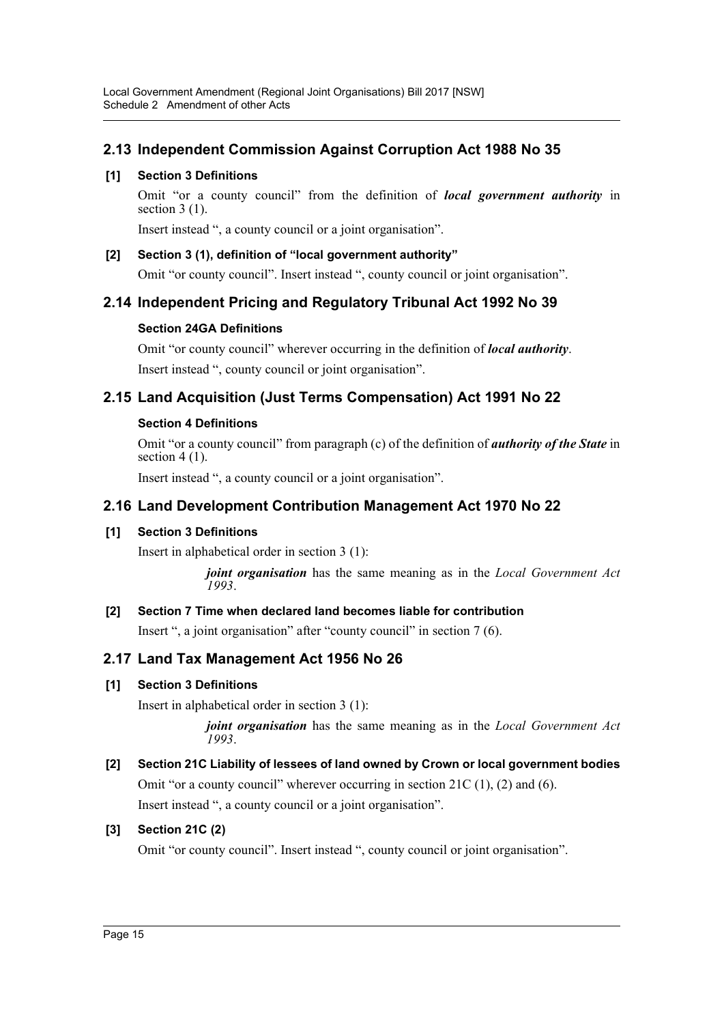# **2.13 Independent Commission Against Corruption Act 1988 No 35**

### **[1] Section 3 Definitions**

Omit "or a county council" from the definition of *local government authority* in section  $3(1)$ .

Insert instead ", a county council or a joint organisation".

### **[2] Section 3 (1), definition of "local government authority"**

Omit "or county council". Insert instead ", county council or joint organisation".

# **2.14 Independent Pricing and Regulatory Tribunal Act 1992 No 39**

### **Section 24GA Definitions**

Omit "or county council" wherever occurring in the definition of *local authority*. Insert instead ", county council or joint organisation".

# **2.15 Land Acquisition (Just Terms Compensation) Act 1991 No 22**

### **Section 4 Definitions**

Omit "or a county council" from paragraph (c) of the definition of *authority of the State* in section  $4(1)$ .

Insert instead ", a county council or a joint organisation".

# **2.16 Land Development Contribution Management Act 1970 No 22**

### **[1] Section 3 Definitions**

Insert in alphabetical order in section 3 (1):

*joint organisation* has the same meaning as in the *Local Government Act 1993*.

# **[2] Section 7 Time when declared land becomes liable for contribution**

Insert ", a joint organisation" after "county council" in section 7 (6).

# **2.17 Land Tax Management Act 1956 No 26**

# **[1] Section 3 Definitions**

Insert in alphabetical order in section 3 (1):

*joint organisation* has the same meaning as in the *Local Government Act 1993*.

# **[2] Section 21C Liability of lessees of land owned by Crown or local government bodies** Omit "or a county council" wherever occurring in section 21C (1), (2) and (6).

Insert instead ", a county council or a joint organisation".

# **[3] Section 21C (2)**

Omit "or county council". Insert instead ", county council or joint organisation".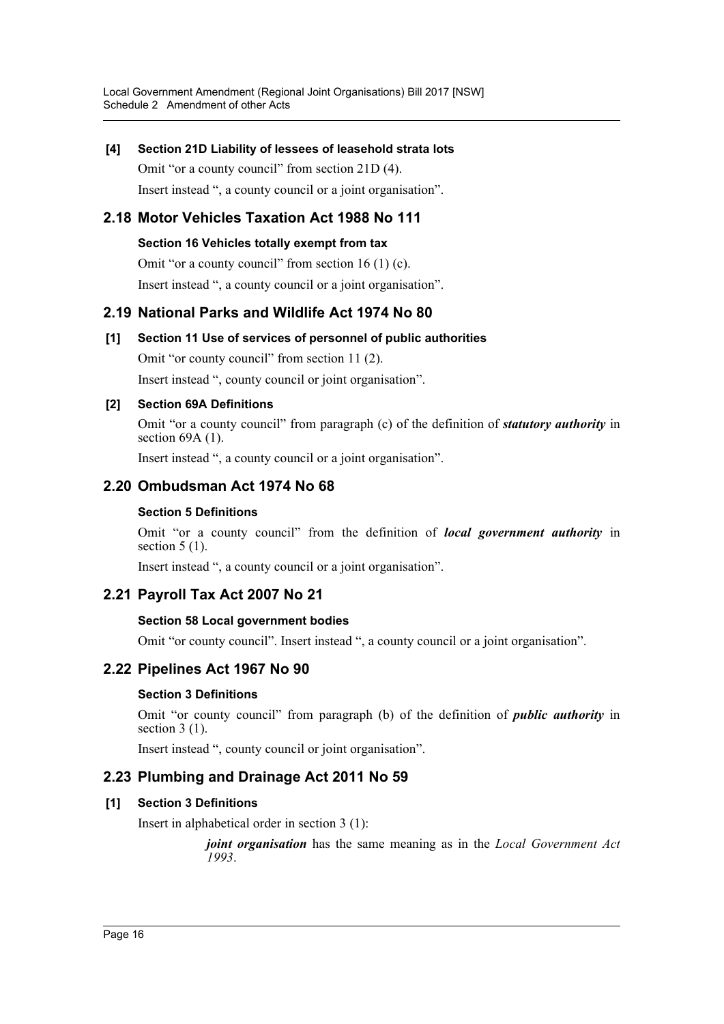### **[4] Section 21D Liability of lessees of leasehold strata lots**

Omit "or a county council" from section 21D (4). Insert instead ", a county council or a joint organisation".

# **2.18 Motor Vehicles Taxation Act 1988 No 111**

### **Section 16 Vehicles totally exempt from tax**

Omit "or a county council" from section 16 (1) (c).

Insert instead ", a county council or a joint organisation".

# **2.19 National Parks and Wildlife Act 1974 No 80**

# **[1] Section 11 Use of services of personnel of public authorities**

Omit "or county council" from section 11 (2).

Insert instead ", county council or joint organisation".

### **[2] Section 69A Definitions**

Omit "or a county council" from paragraph (c) of the definition of *statutory authority* in section  $69A(1)$ .

Insert instead ", a county council or a joint organisation".

# **2.20 Ombudsman Act 1974 No 68**

### **Section 5 Definitions**

Omit "or a county council" from the definition of *local government authority* in section  $5(1)$ .

Insert instead ", a county council or a joint organisation".

# **2.21 Payroll Tax Act 2007 No 21**

### **Section 58 Local government bodies**

Omit "or county council". Insert instead ", a county council or a joint organisation".

# **2.22 Pipelines Act 1967 No 90**

### **Section 3 Definitions**

Omit "or county council" from paragraph (b) of the definition of *public authority* in section  $3(1)$ .

Insert instead ", county council or joint organisation".

# **2.23 Plumbing and Drainage Act 2011 No 59**

### **[1] Section 3 Definitions**

Insert in alphabetical order in section 3 (1):

*joint organisation* has the same meaning as in the *Local Government Act 1993*.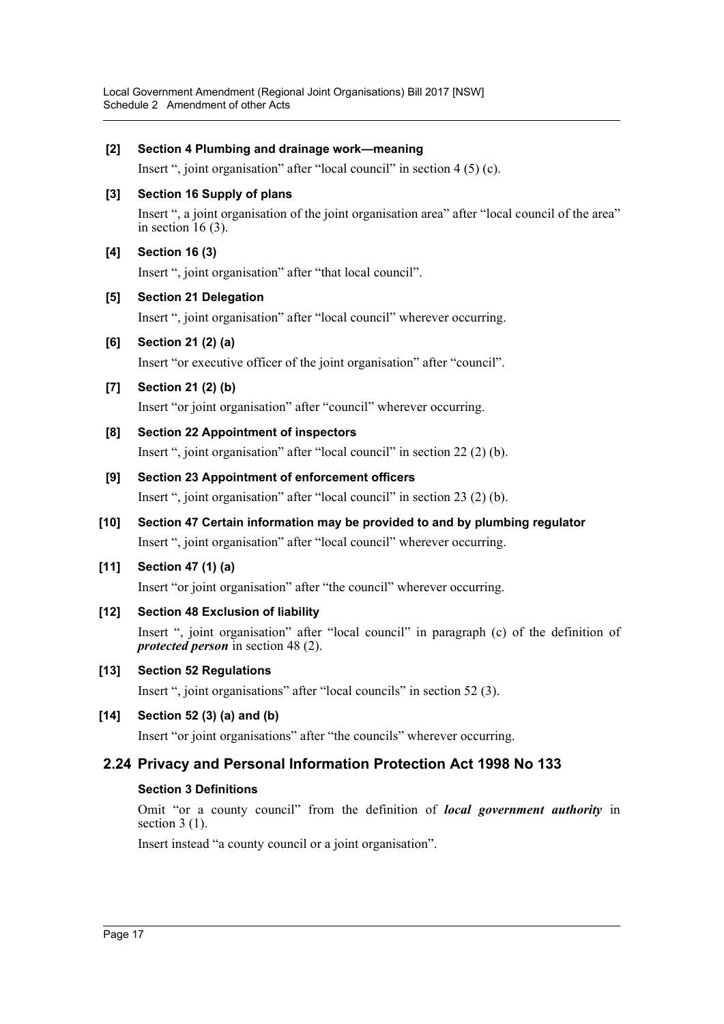### **[2] Section 4 Plumbing and drainage work—meaning**

Insert ", joint organisation" after "local council" in section 4 (5) (c).

### **[3] Section 16 Supply of plans**

Insert ", a joint organisation of the joint organisation area" after "local council of the area" in section  $16(3)$ .

### **[4] Section 16 (3)**

Insert ", joint organisation" after "that local council".

### **[5] Section 21 Delegation**

Insert ", joint organisation" after "local council" wherever occurring.

### **[6] Section 21 (2) (a)**

Insert "or executive officer of the joint organisation" after "council".

### **[7] Section 21 (2) (b)**

Insert "or joint organisation" after "council" wherever occurring.

### **[8] Section 22 Appointment of inspectors**

Insert ", joint organisation" after "local council" in section 22 (2) (b).

### **[9] Section 23 Appointment of enforcement officers**

Insert ", joint organisation" after "local council" in section 23 (2) (b).

**[10] Section 47 Certain information may be provided to and by plumbing regulator** Insert ", joint organisation" after "local council" wherever occurring.

### **[11] Section 47 (1) (a)**

Insert "or joint organisation" after "the council" wherever occurring.

**[12] Section 48 Exclusion of liability**

Insert ", joint organisation" after "local council" in paragraph (c) of the definition of *protected person* in section 48 (2).

### **[13] Section 52 Regulations**

Insert ", joint organisations" after "local councils" in section 52 (3).

### **[14] Section 52 (3) (a) and (b)**

Insert "or joint organisations" after "the councils" wherever occurring.

### **2.24 Privacy and Personal Information Protection Act 1998 No 133**

### **Section 3 Definitions**

Omit "or a county council" from the definition of *local government authority* in section 3 (1).

Insert instead "a county council or a joint organisation".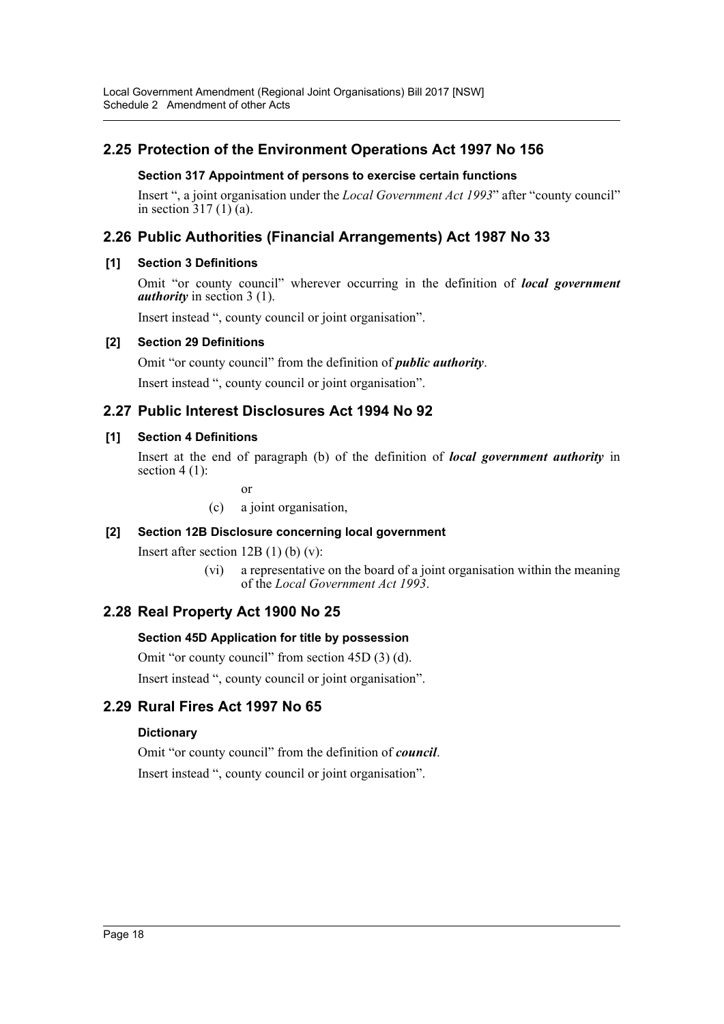# **2.25 Protection of the Environment Operations Act 1997 No 156**

### **Section 317 Appointment of persons to exercise certain functions**

Insert ", a joint organisation under the *Local Government Act 1993*" after "county council" in section  $317(1)$  (a).

# **2.26 Public Authorities (Financial Arrangements) Act 1987 No 33**

### **[1] Section 3 Definitions**

Omit "or county council" wherever occurring in the definition of *local government authority* in section 3 (1).

Insert instead ", county council or joint organisation".

### **[2] Section 29 Definitions**

Omit "or county council" from the definition of *public authority*. Insert instead ", county council or joint organisation".

# **2.27 Public Interest Disclosures Act 1994 No 92**

### **[1] Section 4 Definitions**

Insert at the end of paragraph (b) of the definition of *local government authority* in section 4 (1):

or

(c) a joint organisation,

### **[2] Section 12B Disclosure concerning local government**

Insert after section  $12B(1)$  (b) (v):

(vi) a representative on the board of a joint organisation within the meaning of the *Local Government Act 1993*.

# **2.28 Real Property Act 1900 No 25**

### **Section 45D Application for title by possession**

Omit "or county council" from section 45D (3) (d).

Insert instead ", county council or joint organisation".

# **2.29 Rural Fires Act 1997 No 65**

### **Dictionary**

Omit "or county council" from the definition of *council*. Insert instead ", county council or joint organisation".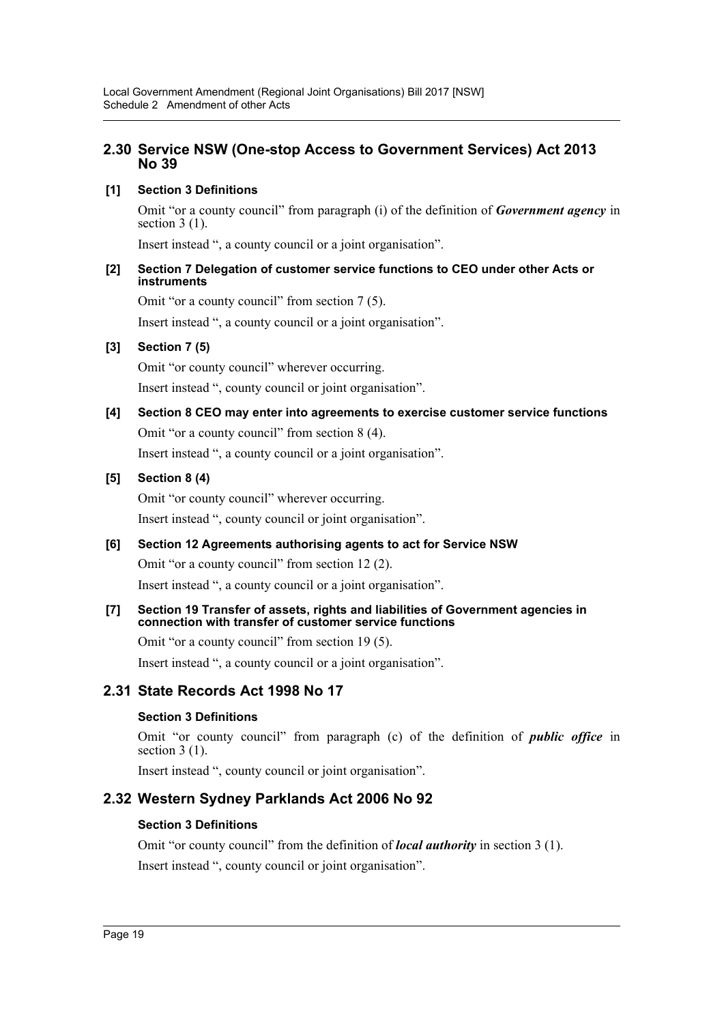### **2.30 Service NSW (One-stop Access to Government Services) Act 2013 No 39**

### **[1] Section 3 Definitions**

Omit "or a county council" from paragraph (i) of the definition of *Government agency* in section 3 (1).

Insert instead ", a county council or a joint organisation".

### **[2] Section 7 Delegation of customer service functions to CEO under other Acts or instruments**

Omit "or a county council" from section 7 (5).

Insert instead ", a county council or a joint organisation".

### **[3] Section 7 (5)**

Omit "or county council" wherever occurring.

Insert instead ", county council or joint organisation".

# **[4] Section 8 CEO may enter into agreements to exercise customer service functions** Omit "or a county council" from section 8 (4). Insert instead ", a county council or a joint organisation".

### **[5] Section 8 (4)**

Omit "or county council" wherever occurring. Insert instead ", county council or joint organisation".

### **[6] Section 12 Agreements authorising agents to act for Service NSW**

Omit "or a county council" from section 12 (2). Insert instead ", a county council or a joint organisation".

### **[7] Section 19 Transfer of assets, rights and liabilities of Government agencies in connection with transfer of customer service functions**

Omit "or a county council" from section 19 (5).

Insert instead ", a county council or a joint organisation".

# **2.31 State Records Act 1998 No 17**

### **Section 3 Definitions**

Omit "or county council" from paragraph (c) of the definition of *public office* in section  $3(1)$ .

Insert instead ", county council or joint organisation".

# **2.32 Western Sydney Parklands Act 2006 No 92**

### **Section 3 Definitions**

Omit "or county council" from the definition of *local authority* in section 3 (1). Insert instead ", county council or joint organisation".